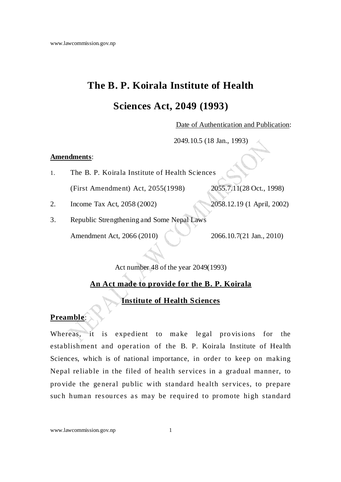# **The B. P. Koirala Institute of Health**

# **Sciences Act, 2049 (1993)**

Date of Authentication and Publication:

2049.10.5 (18 Jan., 1993)

#### **Amendments**:

- 1. The B. P. Koirala Institute of Health Sciences (First Amendment) Act, 2055(1998) 2055.7.11(28 Oct., 1998)
- 2. Income Tax Act, 2058 (2002) 2058.12.19 (1 April, 2002)

3. Republic Strengthening and Some Nepal Laws Amendment Act, 2066 (2010) 2066.10.7(21 Jan., 2010)

Act number 48 of the year 2049(1993)

# **An Act made to provide for the B. P. Koirala**

## **Institute of Health Sciences**

### **Preamble**:

Whereas, it is expedient to make legal provisions for the esta blishment and operation of the B. P. Koirala Institute of Health Sciences, which is of national importance, in order to keep on making Nepal reliable in the filed of health services in a gradual manner, to pro vide the ge neral public w ith sta ndard health services, to prepare such human resources as may be required to promote high standard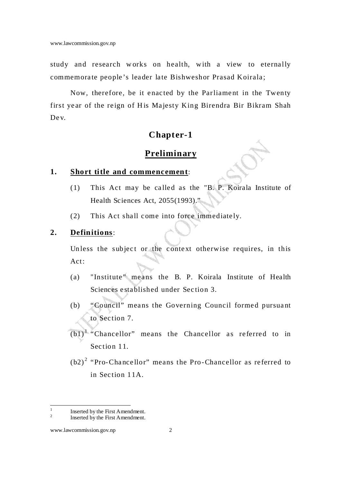study and research works on health, with a view to eternally commemorate people's leader late Bishweshor Prasad Koirala;

Now, therefore, be it enacted by the Parliament in the Twenty first year of the reign of His Majesty King Birendra Bir Bikram Shah De v.

## **Chapter-1**

## **Preliminary**

#### **1. Short title and commencement**:

- $(1)$  This Act may be called as the "B. P. Koirala Institute of Health Sciences Act, 2055(1993)."
- (2) This Act shall come into force immediately.

#### **2. Definitions**:

Unless the subject or the context otherwise requires, in this Act:

- (a) "Institute" means the B. P. Koirala Institute of Health Sciences e stablished under Section 3.
- (b) "Council" means the Governing Council formed pursuant to Section 7.
- $(b1)<sup>1</sup>$  "Chancellor" means the Chancellor as referred to in Section 11.
- $(b2)^2$  "Pro-Chancellor" means the Pro-Chancellor as referred to in Sec tion 11A.

 $\frac{1}{1}$  Inserted by the First Amendment. 2

Inserted by the First Amendment.

www.lawcommission.gov.np 2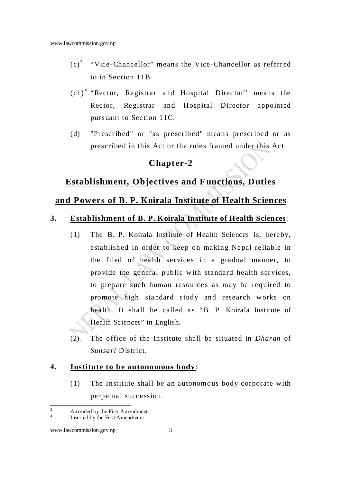- $(c)<sup>3</sup>$  "Vice-Chancellor" means the Vice-Chancellor as referred to in Section 11B.
- $(c1)<sup>4</sup>$  "Rector, Registrar and Hospital Director" means the Rec tor, Re gistrar and Hospital Director appointed pursuant to Section 11C.
- (d) "Prescribed" or "as prescribed" means prescribed or as prescribed in this Act or the rules framed under this Act.

## **Chapter-2**

### **Establishment, Objectives and F unctions, Duties**

## **and Powers of B. P. Koirala Institute of Health Sciences**

### **3. Establishment of B. P. Koirala Institute of Health Sciences**:

- (1) The B. P. Koirala Institute of Health Sciences is, here by, established in order to keep on making Nepal reliable in the filed of health services in a gradual manner, to pro vide the ge neral public w ith sta ndard health ser vices, to prepare such human resources as may be required to promote high sta ndard study and research works on health. It shall be called as "B. P. Koirala Institute of Health Sciences" in English.
- (2) The office of the Institute shall be situated in *Dharan* of *Sunsari* D istrict.

#### **4. Institute to be autonomous body**:

 $(1)$  The Institute shall be an autonomous body corporate with perpetual succession.

<sup>&</sup>lt;sup>-</sup><br>3 Amended by the First Amendment. 4

Inserted by the First Amendment.

www.lawcommission.gov.np 3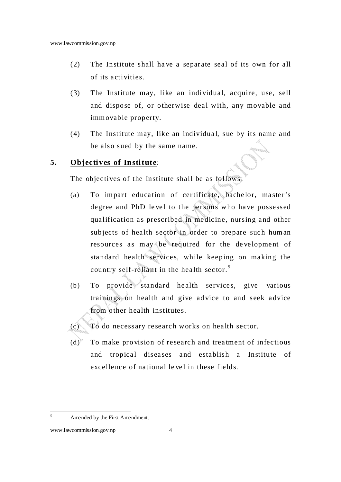- $(2)$  The Institute shall have a separate seal of its own for all of its a ctivities.
- (3) The Institute may, like an individual, acquire, use, sell and dispose of, or otherwise deal with, any movable and imm ovable property.
- (4) The Institute may, like an individual, sue by its name and be also sued by the same name.

#### **5. Objectives of Institute**:

The objectives of the Institute shall be as follows:

- (a) To impart education of certificate, bachelor, master's degree and PhD level to the persons who have possessed qualification as prescribed in medicine, nursing and other subjects of health sector in order to prepare such human resources as may be required for the development of standard health services, while keeping on making the country self-reliant in the health sector.<sup>5</sup>
- $(b)$  To provide standard health services, give various trainings on health and give advice to and seek advice from other health institutes.
- (c) To do necessary re searc h works on hea lth sector.
- $(d)$  To make provision of research and treatment of infectious and tropical diseases and establish a Institute of excellence of national level in these fields.

 $\frac{1}{5}$ Amended by the First Amendment.

www.lawcommission.gov.np 4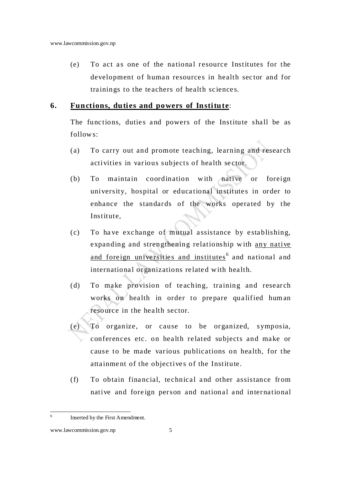(e) To act as one of the national resource Institutes for the development of human resources in health sector and for trainings to the teachers of health sciences.

#### **6. Functions, duties and powers of Institute**:

The functions, duties and powers of the Institute shall be as follow s:

- (a) To carry out and promote teaching, learning and research activities in various subjects of health sector.
- (b) To maintain coordination with native or foreign university, hospital or educational institutes in order to enhance the standards of the works operated by the Institute,
- $(c)$  To have exchange of mutual assistance by establishing, expanding and strengthening relationship with any native and foreign universities and institutes<sup>6</sup> and national and international organizations related with health.
- (d) To make provision of teaching, training and research works on health in order to prepare qualified human resource in the health sector.
- (e) To organize, or cause to be organized, symposia, conferences etc. on health related subjects and make or cause to be made various publications on health, for the attainment of the objectives of the Institute.
- (f) To obtain financial, technical and other assistance from native and foreign person and national and international

 6 Inserted by the First Amendment.

www.lawcommission.gov.np 5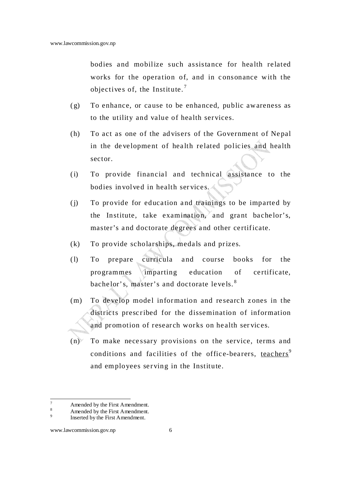bodies and mobilize such assistance for health related works for the operation of, and in consonance with the objectives of, the Institute.<sup>7</sup>

- $(g)$  To enhance, or cause to be enhanced, public awareness as to the utility and value of health services.
- (h) To act as one of the advisers of the Government of Nepal in the development of health related policies and health sector.
- (i) To provide financial and technical assistance to the bodies involved in health services.
- (i) To provide for education and trainings to be imparted by the Institute, take examination, and grant bachelor's, master's and doctorate degrees and other certificate.
- (k) To provide scholarships, medals and prizes.
- (l) To prepare curricula a nd course books for the programmes imparting education of certificate, bachelor's, master's and doctorate levels.<sup>8</sup>
- $(m)$  To develop model information and research zones in the districts prescribed for the dissemination of information and promotion of research works on health services.
- $(n)$  To make necessary provisions on the service, terms and conditions and facilities of the office-bearers, teachers<sup>9</sup> and employees serving in the Institute.

<sup>&</sup>lt;sup>-</sup> Amended by the First Amendment.

<sup>8</sup> Amended by the First Amendment. 9

Inserted by the First Amendment.

www.lawcommission.gov.np 6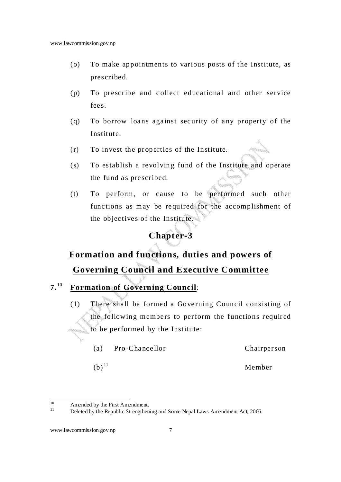- (o) To make appointments to various posts of the Institute, as prescribe d.
- $(p)$  To prescribe and collect educational and other service fee s.
- $(q)$  To borrow loans against security of any property of the Institute.
- (r) To invest the properties of the Institute.
- (s) To establish a revolving fund of the Institute and operate the fund as prescribed.
- $(t)$  To perform, or cause to be performed such other functions as may be required for the accomplishment of the objectives of the Institute.

# **Chapter-3**

# **Formation and functions, duties and powers of Governing Council and Executive Committee**

- **7.**<sup>10</sup> **Formation of Governing C ouncil**:
	- $(1)$  There shall be formed a Governing Council consisting of the following members to perform the functions required to be performed by the Institute:

| (a)                 | Pro-Chancellor | Chairperson |
|---------------------|----------------|-------------|
| $(b)$ <sup>11</sup> |                | Member      |

 $10$  $10$  Amended by the First Amendment.

Deleted by the Republic Strengthening and Some Nepal Laws Amendment Act, 2066.

www.lawcommission.gov.np 7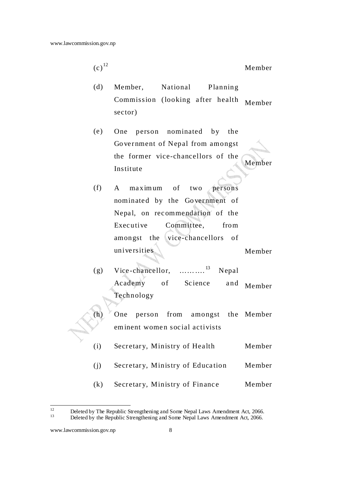$(c)^{12}$ Member

- (d) Member, National Planning Commission (looking a fter health sector) Member
- (e) One person nominated by the Go ve rnment of Nepal from amongst the former vice-chancellors of the Institute Member
- (f) A maximum of two persons nominated by the Government of Nepal, on recommendation of the Executive Committee, from amongst the vice-chancellors of universities Member
- (g) Vice-chancellor, ..........<sup>13</sup> Nepal Academy of Science and Technology Member

 $(h)$  One person from amongst eminent women social activists the Member

- (i) Secretary, Ministry of Health Member
- (j) Secretary, Ministry of Education Member
- (k) Secretary, Ministry of Finance Member

 $12$ <sup>12</sup> Deleted by The Republic Strengthening and Some Nepal Laws Amendment Act, 2066.<br>Deleted by the Penublic Strengthening and Some Nepal Laws Amendment Act, 2066.

Deleted by the Republic Strengthening and Some Nepal Laws Amendment Act, 2066.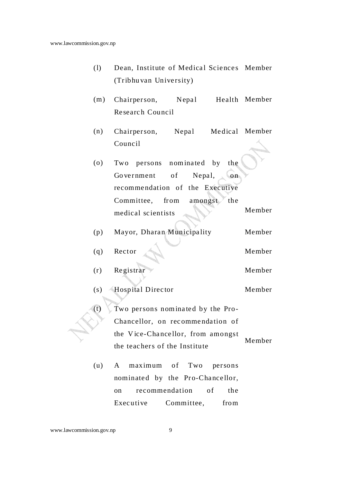- (1) Dean, Institute of Medical Sciences Member (Tribhu van University)
- $(m)$  Chairperson, Nepal Re searc h Council Health Member
- $(n)$  Chairperson, Nepal Council Medical Member

| (0) | Two persons nominated by the          |        |
|-----|---------------------------------------|--------|
|     | Government of Nepal,<br>$\mathbf{on}$ |        |
|     | recommendation of the Executive       |        |
|     | Committee, from amongst<br>the        |        |
|     | medical scientists                    | Member |
|     |                                       |        |

| (p) |        | Mayor, Dharan Municipality | Member |
|-----|--------|----------------------------|--------|
|     |        |                            |        |
| (a) | Rector |                            | Member |

- (r) Registrar Member
- (s) Hospital Director Member
- $(t)$  Two persons nominated by the Pro-Chancellor, on rec omme nda tion of the Vice-Chancellor, from amongst the teac hers of the Institute Member
	- (u) A maximum of Two persons nominated by the Pro-Chancellor, on recommendation of the Executive Committee, from

#### www.lawcommission.gov.np 9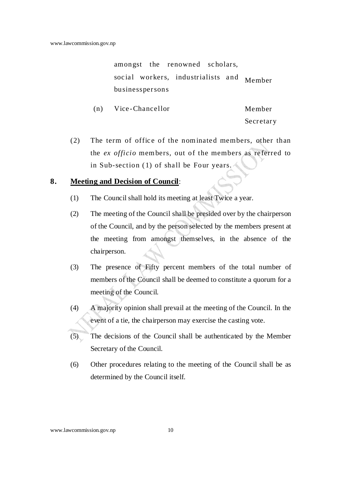amongst the renowned scholars, social workers, industrialists and Member businesspersons

| (n) | Vice-Chancellor | Member    |
|-----|-----------------|-----------|
|     |                 | Secretary |

 $(2)$  The term of office of the nominated members, other than the *ex officio* mem bers, out of the members as re ferred to in Sub-section (1) of shall be Four years.

#### **8. Meeting and Decision of Council**:

- (1) The Council shall hold its meeting at least Twice a year.
- (2) The meeting of the Council shall be presided over by the chairperson of the Council, and by the person selected by the members present at the meeting from amongst themselves, in the absence of the chairperson.
- (3) The presence of Fifty percent members of the total number of members of the Council shall be deemed to constitute a quorum for a meeting of the Council.
- (4) A majority opinion shall prevail at the meeting of the Council. In the event of a tie, the chairperson may exercise the casting vote.
- (5) The decisions of the Council shall be authenticated by the Member Secretary of the Council.
- (6) Other procedures relating to the meeting of the Council shall be as determined by the Council itself.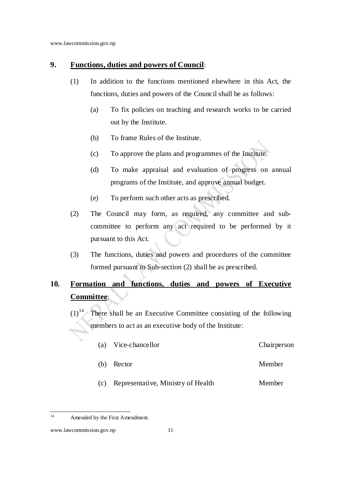#### **9. Functions, duties and powers of Council**:

- (1) In addition to the functions mentioned elsewhere in this Act, the functions, duties and powers of the Council shall be as follows:
	- (a) To fix policies on teaching and research works to be carried out by the Institute.
	- (b) To frame Rules of the Institute.
	- (c) To approve the plans and programmes of the Institute.
	- (d) To make appraisal and evaluation of progress on annual programs of the Institute, and approve annual budget.
	- (e) To perform such other acts as prescribed.
- (2) The Council may form, as required, any committee and subcommittee to perform any act required to be performed by it pursuant to this Act.
- (3) The functions, duties and powers and procedures of the committee formed pursuant to Sub-section (2) shall be as prescribed.

# **10. Formation and functions, duties and powers of Executive Committee**:

 $(1)^{14}$ . There shall be an Executive Committee consisting of the following members to act as an executive body of the Institute:

- (a) Vice-chancellor Chairperson
- (b) Rector Member
- (c) Representative, Ministry of Health Member

 $14$ Amended by the First Amendment.

www.lawcommission.gov.np 11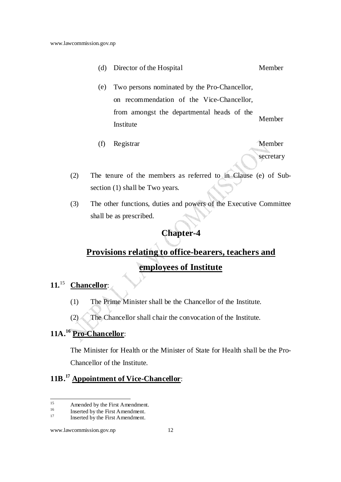- (d) Director of the Hospital Member (e) Two persons nominated by the Pro-Chancellor, on recommendation of the Vice-Chancellor, from amongst the departmental heads of the Institute Member
- (f) Registrar Member

secretary

- (2) The tenure of the members as referred to in Clause (e) of Subsection (1) shall be Two years.
- (3) The other functions, duties and powers of the Executive Committee shall be as prescribed.

### **Chapter-4**

# **Provisions relating to office-bearers, teachers and employees of Institute**

#### **11.**<sup>15</sup> **Chancellor**:

- (1) The Prime Minister shall be the Chancellor of the Institute.
- (2) The Chancellor shall chair the convocation of the Institute.

# **11A.<sup>16</sup> Pro-Chancellor**:

The Minister for Health or the Minister of State for Health shall be the Pro-Chancellor of the Institute.

# **11B.<sup>17</sup> Appointment of Vice-Chancellor**:

 $15$ <sup>15</sup> Amended by the First Amendment.

<sup>&</sup>lt;sup>16</sup> Inserted by the First Amendment.

Inserted by the First Amendment.

www.lawcommission.gov.np 12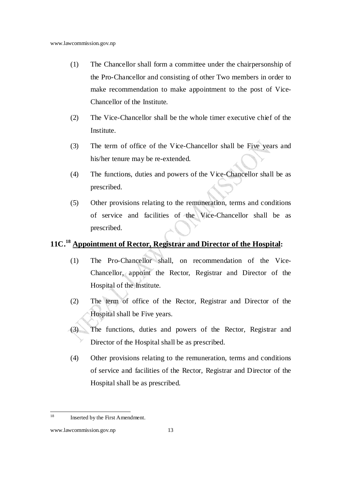- (1) The Chancellor shall form a committee under the chairpersonship of the Pro-Chancellor and consisting of other Two members in order to make recommendation to make appointment to the post of Vice-Chancellor of the Institute.
- (2) The Vice-Chancellor shall be the whole timer executive chief of the Institute.
- (3) The term of office of the Vice-Chancellor shall be Five years and his/her tenure may be re-extended.
- (4) The functions, duties and powers of the Vice-Chancellor shall be as prescribed.
- (5) Other provisions relating to the remuneration, terms and conditions of service and facilities of the Vice-Chancellor shall be as prescribed.

# **11C.<sup>18</sup> Appointment of Rector, Registrar and Director of the Hospital:**

- (1) The Pro-Chancellor shall, on recommendation of the Vice-Chancellor, appoint the Rector, Registrar and Director of the Hospital of the Institute.
- (2) The term of office of the Rector, Registrar and Director of the Hospital shall be Five years.
- (3) The functions, duties and powers of the Rector, Registrar and Director of the Hospital shall be as prescribed.
- (4) Other provisions relating to the remuneration, terms and conditions of service and facilities of the Rector, Registrar and Director of the Hospital shall be as prescribed.

<sup>18</sup> Inserted by the First Amendment.

www.lawcommission.gov.np 13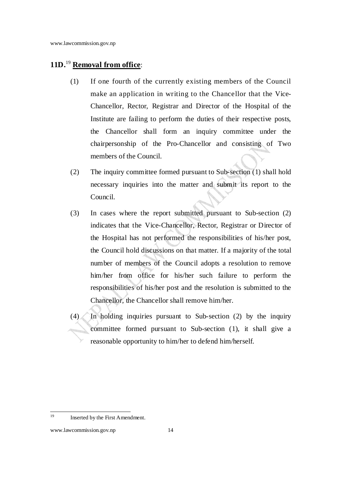# **11D.**<sup>19</sup> **Removal from office**:

- (1) If one fourth of the currently existing members of the Council make an application in writing to the Chancellor that the Vice-Chancellor, Rector, Registrar and Director of the Hospital of the Institute are failing to perform the duties of their respective posts, the Chancellor shall form an inquiry committee under the chairpersonship of the Pro-Chancellor and consisting of Two members of the Council.
- (2) The inquiry committee formed pursuant to Sub-section (1) shall hold necessary inquiries into the matter and submit its report to the Council.
- (3) In cases where the report submitted pursuant to Sub-section (2) indicates that the Vice-Chancellor, Rector, Registrar or Director of the Hospital has not performed the responsibilities of his/her post, the Council hold discussions on that matter. If a majority of the total number of members of the Council adopts a resolution to remove him/her from office for his/her such failure to perform the responsibilities of his/her post and the resolution is submitted to the Chancellor, the Chancellor shall remove him/her.
- $(4)$  In holding inquiries pursuant to Sub-section (2) by the inquiry committee formed pursuant to Sub-section (1), it shall give a reasonable opportunity to him/her to defend him/herself.

 $19$ Inserted by the First Amendment.

www.lawcommission.gov.np 14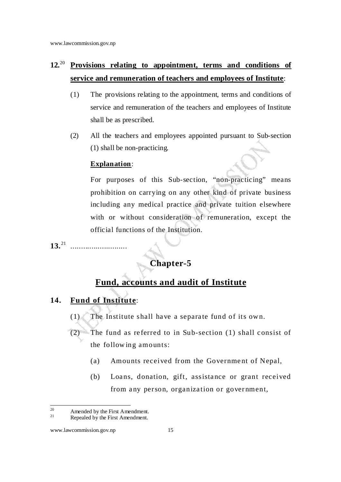# **12.**<sup>20</sup> **Provisions relating to appointment, terms and conditions of service and remuneration of teachers and employees of Institute**:

- (1) The provisions relating to the appointment, terms and conditions of service and remuneration of the teachers and employees of Institute shall be as prescribed.
- (2) All the teachers and employees appointed pursuant to Sub-section (1) shall be non-practicing.

#### **Explanation**:

For purposes of this Sub-section, "non-practicing" means prohibition on carrying on any other kind of private business including any medical practice and private tuition elsewhere with or without consideration of remuneration, except the official functions of the Institution.

**13.**<sup>21</sup> ...........................

# **Chapter-5**

# **Fund, accounts and audit of Institute**

### **14. Fund of Institute**:

- $(1)$  The Institute shall have a separate fund of its own.
- The fund as referred to in Sub-section (1) shall consist of the follow ing amounts:
	- (a) Amounts received from the Government of Nepal,
	- (b) Loans, donation, gift, assistance or grant received from any person, organization or government,

 $20\degree$  $^{20}$  Amended by the First Amendment.

Repealed by the First Amendment.

www.lawcommission.gov.np 15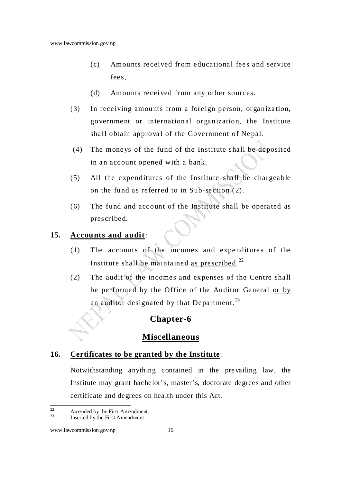- (c) Amounts received from educational fees and service fee s.
- (d) Amounts received from any other sources.
- (3) In receiving amounts from a foreign person, organization, government or international organization, the Institute shall obtain approval of the Government of Nepal.
- (4) The mone ys of the fund of the Institute shall be deposited in an account opened with a bank.
- $(5)$  All the expenditures of the Institute shall be chargeable on the fund as referred to in Sub-section  $(2)$ .
- (6) The fund and account of the Institute shall be operated as prescribe d.

#### **15. Accounts and audit**:

- $(1)$  The accounts of the incomes and expenditures of the Institute shall be maintained <u>as prescribed</u>.<sup>22</sup>
- (2) The audit of the incomes and expenses of the Centre shall be performed by the Office of the Auditor General or by an auditor designated by that Department.<sup>23</sup>

## **Chapter-6**

# **Miscellaneous**

#### **16. Certificates to be granted by the Institute**:

Notwithstanding anything contained in the pre vailing law, the Institute may grant bachelor's, master's, doctorate degrees and other certificate and degrees on health under this Act.

 $22$  $2^2$  Amended by the First Amendment.

Inserted by the First Amendment.

www.lawcommission.gov.np 16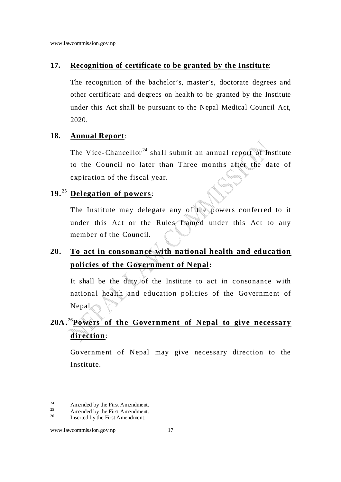#### **17. Recognition of certificate to be granted by the Institute**:

The recognition of the bachelor's, master's, doctorate degrees and other certificate and degrees on health to be granted by the Institute under this Act shall be pursuant to the Nepal Medical Council Act, 2020.

#### **18. Annual Report**:

The Vice-Chancellor<sup>24</sup> shall submit an annual report of Institute to the Council no later than Three months after the date of expiration of the fiscal year.

#### **19.** <sup>25</sup> **Delegation of powers**:

The Institute may delegate any of the powers conferred to it under this Act or the Rules framed under this Act to any member of the Council.

# **20. To act in consonance with national health and education policies of the Government of Nepal:**

It shall be the duty of the Institute to act in consonance with national health and education policies of the Government of Nepal.

# **20A .**<sup>26</sup>**Powers of the Government of Nepal to give necessary direction**:

Government of Nepal may give necessary direction to the Institute.

 $24$  $^{24}$  Amended by the First Amendment.

<sup>&</sup>lt;sup>25</sup> Amended by the First Amendment.

Inserted by the First Amendment.

www.lawcommission.gov.np 17